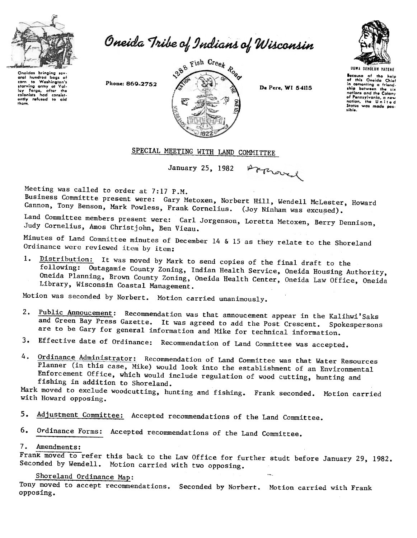

corn to Washington's corn to Washington's<br>starving army at Val-<br>Iey Forge, after the colonists had consist<br>ently refused to aid

Ihgm.

Oneida Tribe of Indians of Wisconsin



UGWA DfHOlUH rATfHf secause of the holp<br>of this Oneida Chiof in comonting a friendship botweon the si.<br>nations and the Colony of Pennsylvania, a new<br>nation, the United<br>Statos was made possible.



Arproved

## SPECIAL MEETING WITH LAND COMMITTEE

January 25, 1982

Meeting was called to order at 7:17 P.M.

Business Committte present were: Gary Metoxen, Norbert Hill, Wendell McLester, Howard Cannon, Tony Benson, Mark Powless, Frank Cornelius. (Joy Ninham was excused).

Land Committee members present werg: Carl Jorgenson, Loretta Metoxen, Berry Dennison, Judy Cornelius, Amos Christ john, Ben Vieau.

Minutes of Land Committee minutes of December 14 & 15 as they relate to the Shoreland Ordinance were reviewed item by item:

1. Distribution: It was moved by Mark to send copies of the final draft to the following: Outagamie County Zoning, Indian Health Service, Oneida HouSing Authority, Oneida Planning, Brown County Zoning, Oneida Health Center, Oneida Law Office, Oneida Library, Wisconsin Coastal Management.

Motion was seconded by Norbert. Motion carried unanimously.

- 2. Public Annoucement: Recommendation was that annoucement appear in the Kalihwi'Saks and Green Bay Press Gazette. It was agreed to add the Post Crescent. Spokespersons are to be Gary for general information and Mike for technical information.
- 3. Effective date of Ordinance: Recommendation of Land Committee was accepted.
- 4. Ordinance Administrator: Recommendation of Land Committee was that Water Resources Planner (in this case, Mike) would look into the establishment of an Environmental Enforcement Office, which would include regulation of wood cutting, hunting and fishing in addition to Shoreland.

Mark moved to exclude woodcutting, hunting and fishing. Frank seconded. Motion carried with Howard opposing.

- 5. Adjustment Committee: Accepted recommendations of the Land Committee.
- 6. Ordinance Forms: Accepted recommendations of the Land Committee.

## 7. Amendments:

Frank moved to refer this back to the Law Office for further studt before January 29, 1982. Seconded by Wendell. Motion carried with two opposing.

## Shoreland Ordinance Map:

Tony moved to accept recommendations. Seconded by Norbert. Motion carried with Frank opposing.